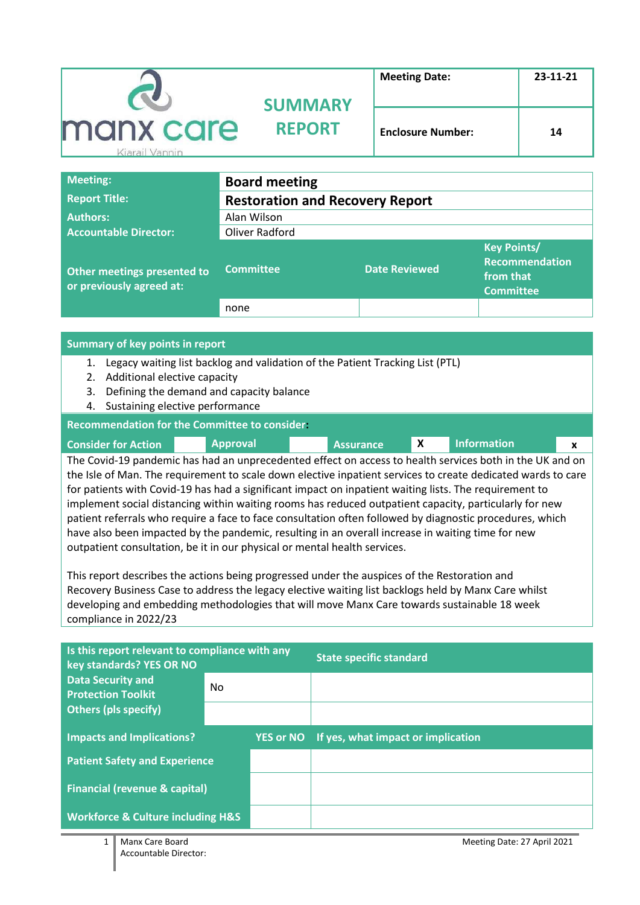|                             | <b>SUMMARY</b> | <b>Meeting Date:</b>     | 23-11-21 |
|-----------------------------|----------------|--------------------------|----------|
| manx care<br>Kiarail Vannin | <b>REPORT</b>  | <b>Enclosure Number:</b> | 14       |

| <b>Meeting:</b>                                         | <b>Board meeting</b>                   |                      |                                                                              |  |  |
|---------------------------------------------------------|----------------------------------------|----------------------|------------------------------------------------------------------------------|--|--|
| <b>Report Title:</b>                                    | <b>Restoration and Recovery Report</b> |                      |                                                                              |  |  |
| <b>Authors:</b>                                         | Alan Wilson                            |                      |                                                                              |  |  |
| <b>Accountable Director:</b>                            | Oliver Radford                         |                      |                                                                              |  |  |
| Other meetings presented to<br>or previously agreed at: | <b>Committee</b>                       | <b>Date Reviewed</b> | <b>Key Points/</b><br><b>Recommendation</b><br>from that<br><b>Committee</b> |  |  |
|                                                         | none                                   |                      |                                                                              |  |  |

#### **Summary of key points in report**

- 1. Legacy waiting list backlog and validation of the Patient Tracking List (PTL)
- 2. Additional elective capacity
- 3. Defining the demand and capacity balance
- 4. Sustaining elective performance

#### **Recommendation for the Committee to consider:**

| <b>Consider for Action</b> | <b>Approval</b>                                                                                          | <b>Assurance</b> | <b>Information</b> |  |
|----------------------------|----------------------------------------------------------------------------------------------------------|------------------|--------------------|--|
|                            | The Covid-19 pandemic has had an unprecedented effect on access to health services both in the UK and on |                  |                    |  |

the Isle of Man. The requirement to scale down elective inpatient services to create dedicated wards to care for patients with Covid-19 has had a significant impact on inpatient waiting lists. The requirement to implement social distancing within waiting rooms has reduced outpatient capacity, particularly for new patient referrals who require a face to face consultation often followed by diagnostic procedures, which have also been impacted by the pandemic, resulting in an overall increase in waiting time for new outpatient consultation, be it in our physical or mental health services.

This report describes the actions being progressed under the auspices of the Restoration and Recovery Business Case to address the legacy elective waiting list backlogs held by Manx Care whilst developing and embedding methodologies that will move Manx Care towards sustainable 18 week compliance in 2022/23

| Is this report relevant to compliance with any<br>key standards? YES OR NO |     |                  | <b>State specific standard</b>     |
|----------------------------------------------------------------------------|-----|------------------|------------------------------------|
| <b>Data Security and</b><br><b>Protection Toolkit</b>                      | No. |                  |                                    |
| <b>Others (pls specify)</b>                                                |     |                  |                                    |
| <b>Impacts and Implications?</b>                                           |     | <b>YES or NO</b> | If yes, what impact or implication |
| <b>Patient Safety and Experience</b>                                       |     |                  |                                    |
| <b>Financial (revenue &amp; capital)</b>                                   |     |                  |                                    |
| <b>Workforce &amp; Culture including H&amp;S</b>                           |     |                  |                                    |

1 Manx Care Board Meeting Date: 27 April 2021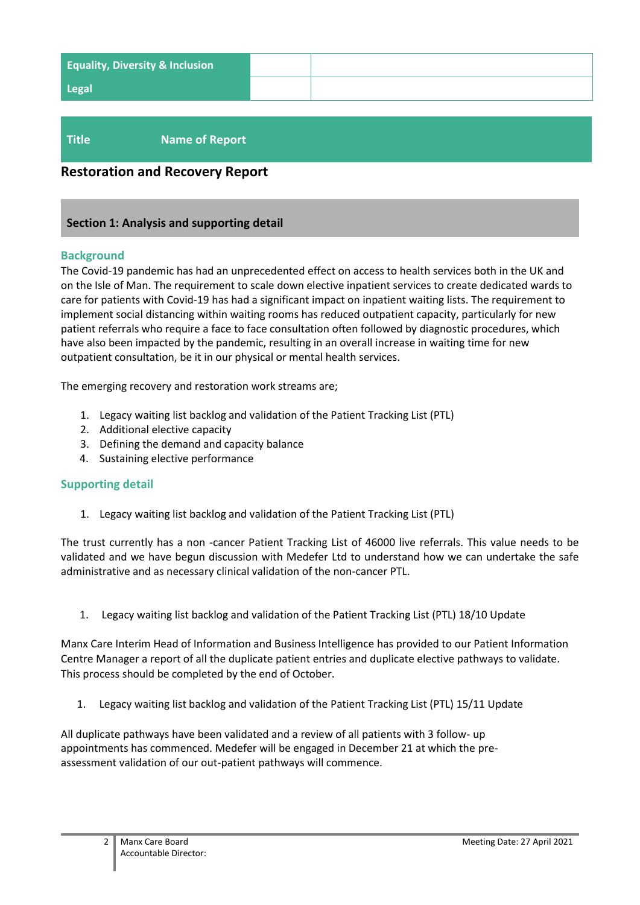| <b>Equality, Diversity &amp; Inclusion</b> |  |
|--------------------------------------------|--|
| <b>Legal</b>                               |  |
|                                            |  |

# **Title Name of Report**

# **Restoration and Recovery Report**

#### **Section 1: Analysis and supporting detail**

#### **Background**

The Covid-19 pandemic has had an unprecedented effect on access to health services both in the UK and on the Isle of Man. The requirement to scale down elective inpatient services to create dedicated wards to care for patients with Covid-19 has had a significant impact on inpatient waiting lists. The requirement to implement social distancing within waiting rooms has reduced outpatient capacity, particularly for new patient referrals who require a face to face consultation often followed by diagnostic procedures, which have also been impacted by the pandemic, resulting in an overall increase in waiting time for new outpatient consultation, be it in our physical or mental health services.

The emerging recovery and restoration work streams are;

- 1. Legacy waiting list backlog and validation of the Patient Tracking List (PTL)
- 2. Additional elective capacity
- 3. Defining the demand and capacity balance
- 4. Sustaining elective performance

#### **Supporting detail**

1. Legacy waiting list backlog and validation of the Patient Tracking List (PTL)

The trust currently has a non -cancer Patient Tracking List of 46000 live referrals. This value needs to be validated and we have begun discussion with Medefer Ltd to understand how we can undertake the safe administrative and as necessary clinical validation of the non-cancer PTL.

1. Legacy waiting list backlog and validation of the Patient Tracking List (PTL) 18/10 Update

Manx Care Interim Head of Information and Business Intelligence has provided to our Patient Information Centre Manager a report of all the duplicate patient entries and duplicate elective pathways to validate. This process should be completed by the end of October.

1. Legacy waiting list backlog and validation of the Patient Tracking List (PTL) 15/11 Update

All duplicate pathways have been validated and a review of all patients with 3 follow- up appointments has commenced. Medefer will be engaged in December 21 at which the preassessment validation of our out-patient pathways will commence.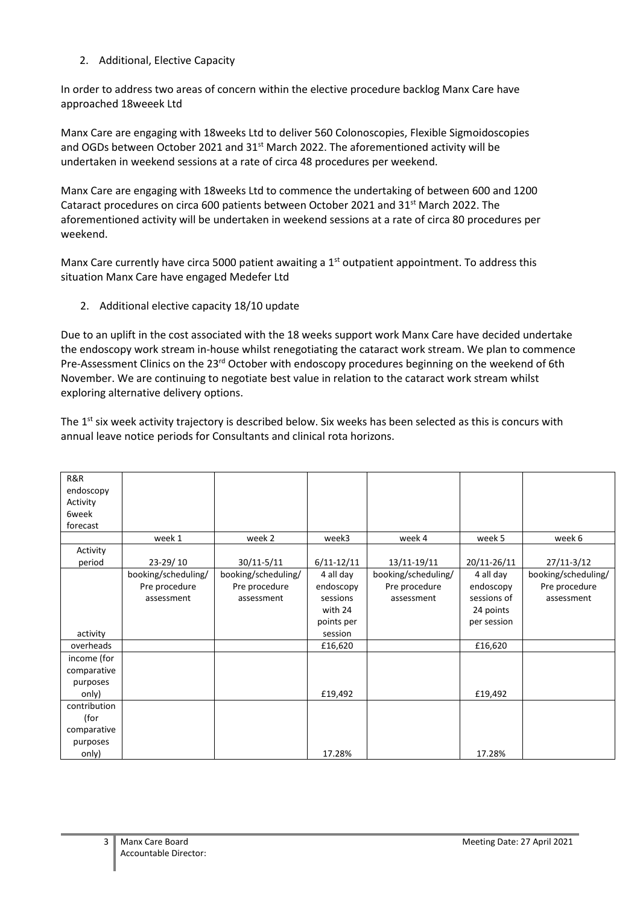2. Additional, Elective Capacity

In order to address two areas of concern within the elective procedure backlog Manx Care have approached 18weeek Ltd

Manx Care are engaging with 18weeks Ltd to deliver 560 Colonoscopies, Flexible Sigmoidoscopies and OGDs between October 2021 and  $31<sup>st</sup>$  March 2022. The aforementioned activity will be undertaken in weekend sessions at a rate of circa 48 procedures per weekend.

Manx Care are engaging with 18weeks Ltd to commence the undertaking of between 600 and 1200 Cataract procedures on circa 600 patients between October 2021 and 31<sup>st</sup> March 2022. The aforementioned activity will be undertaken in weekend sessions at a rate of circa 80 procedures per weekend.

Manx Care currently have circa 5000 patient awaiting a  $1<sup>st</sup>$  outpatient appointment. To address this situation Manx Care have engaged Medefer Ltd

2. Additional elective capacity 18/10 update

Due to an uplift in the cost associated with the 18 weeks support work Manx Care have decided undertake the endoscopy work stream in-house whilst renegotiating the cataract work stream. We plan to commence Pre-Assessment Clinics on the 23<sup>rd</sup> October with endoscopy procedures beginning on the weekend of 6th November. We are continuing to negotiate best value in relation to the cataract work stream whilst exploring alternative delivery options.

The  $1<sup>st</sup>$  six week activity trajectory is described below. Six weeks has been selected as this is concurs with annual leave notice periods for Consultants and clinical rota horizons.

| R&R          |                     |                     |                |                     |             |                     |
|--------------|---------------------|---------------------|----------------|---------------------|-------------|---------------------|
|              |                     |                     |                |                     |             |                     |
| endoscopy    |                     |                     |                |                     |             |                     |
| Activity     |                     |                     |                |                     |             |                     |
| 6week        |                     |                     |                |                     |             |                     |
| forecast     |                     |                     |                |                     |             |                     |
|              | week 1              | week 2              | week3          | week 4              | week 5      | week 6              |
| Activity     |                     |                     |                |                     |             |                     |
| period       | 23-29/10            | 30/11-5/11          | $6/11 - 12/11$ | 13/11-19/11         | 20/11-26/11 | 27/11-3/12          |
|              | booking/scheduling/ | booking/scheduling/ | 4 all day      | booking/scheduling/ | 4 all day   | booking/scheduling/ |
|              | Pre procedure       | Pre procedure       | endoscopy      | Pre procedure       | endoscopy   | Pre procedure       |
|              | assessment          | assessment          | sessions       | assessment          | sessions of | assessment          |
|              |                     |                     | with 24        |                     | 24 points   |                     |
|              |                     |                     | points per     |                     | per session |                     |
| activity     |                     |                     | session        |                     |             |                     |
| overheads    |                     |                     | £16,620        |                     | £16,620     |                     |
| income (for  |                     |                     |                |                     |             |                     |
| comparative  |                     |                     |                |                     |             |                     |
| purposes     |                     |                     |                |                     |             |                     |
| only)        |                     |                     | £19,492        |                     | £19,492     |                     |
| contribution |                     |                     |                |                     |             |                     |
| (for         |                     |                     |                |                     |             |                     |
| comparative  |                     |                     |                |                     |             |                     |
| purposes     |                     |                     |                |                     |             |                     |
| only)        |                     |                     | 17.28%         |                     | 17.28%      |                     |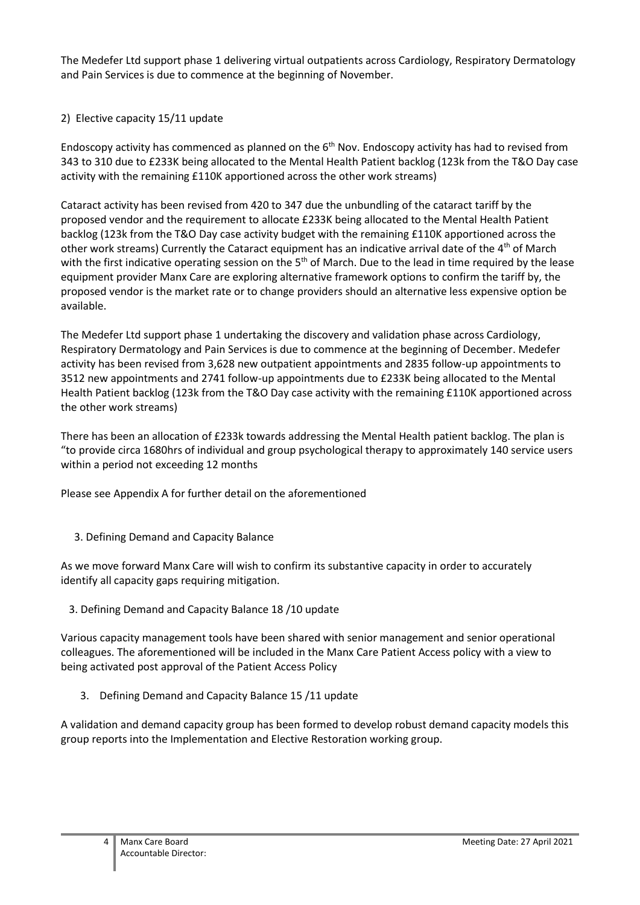The Medefer Ltd support phase 1 delivering virtual outpatients across Cardiology, Respiratory Dermatology and Pain Services is due to commence at the beginning of November.

# 2) Elective capacity 15/11 update

Endoscopy activity has commenced as planned on the  $6<sup>th</sup>$  Nov. Endoscopy activity has had to revised from 343 to 310 due to £233K being allocated to the Mental Health Patient backlog (123k from the T&O Day case activity with the remaining £110K apportioned across the other work streams)

Cataract activity has been revised from 420 to 347 due the unbundling of the cataract tariff by the proposed vendor and the requirement to allocate £233K being allocated to the Mental Health Patient backlog (123k from the T&O Day case activity budget with the remaining £110K apportioned across the other work streams) Currently the Cataract equipment has an indicative arrival date of the 4th of March with the first indicative operating session on the  $5<sup>th</sup>$  of March. Due to the lead in time required by the lease equipment provider Manx Care are exploring alternative framework options to confirm the tariff by, the proposed vendor is the market rate or to change providers should an alternative less expensive option be available.

The Medefer Ltd support phase 1 undertaking the discovery and validation phase across Cardiology, Respiratory Dermatology and Pain Services is due to commence at the beginning of December. Medefer activity has been revised from 3,628 new outpatient appointments and 2835 follow-up appointments to 3512 new appointments and 2741 follow-up appointments due to £233K being allocated to the Mental Health Patient backlog (123k from the T&O Day case activity with the remaining £110K apportioned across the other work streams)

There has been an allocation of £233k towards addressing the Mental Health patient backlog. The plan is "to provide circa 1680hrs of individual and group psychological therapy to approximately 140 service users within a period not exceeding 12 months

Please see Appendix A for further detail on the aforementioned

3. Defining Demand and Capacity Balance

As we move forward Manx Care will wish to confirm its substantive capacity in order to accurately identify all capacity gaps requiring mitigation.

3. Defining Demand and Capacity Balance 18 /10 update

Various capacity management tools have been shared with senior management and senior operational colleagues. The aforementioned will be included in the Manx Care Patient Access policy with a view to being activated post approval of the Patient Access Policy

3. Defining Demand and Capacity Balance 15 /11 update

A validation and demand capacity group has been formed to develop robust demand capacity models this group reports into the Implementation and Elective Restoration working group.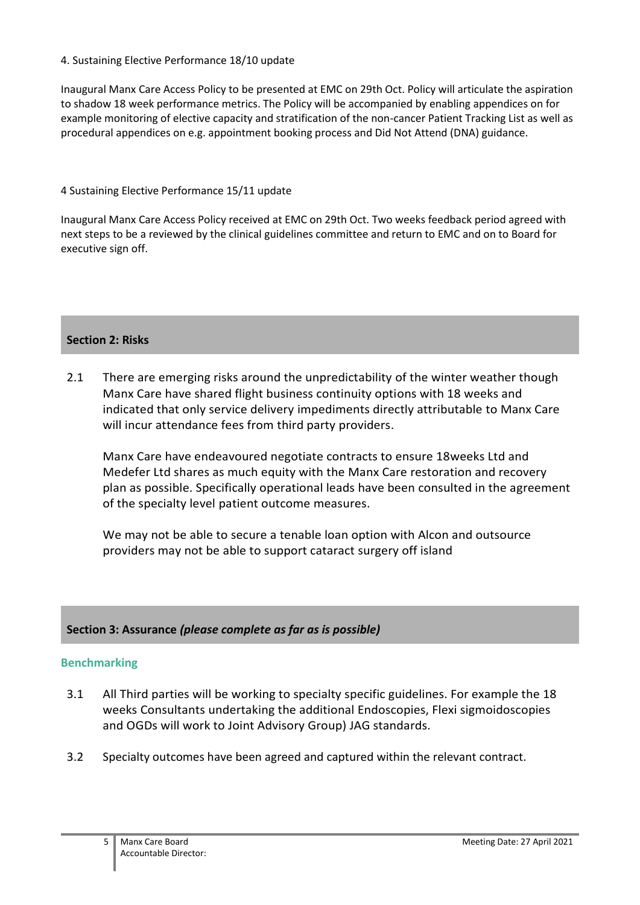# 4. Sustaining Elective Performance 18/10 update

Inaugural Manx Care Access Policy to be presented at EMC on 29th Oct. Policy will articulate the aspiration to shadow 18 week performance metrics. The Policy will be accompanied by enabling appendices on for example monitoring of elective capacity and stratification of the non-cancer Patient Tracking List as well as procedural appendices on e.g. appointment booking process and Did Not Attend (DNA) guidance.

# 4 Sustaining Elective Performance 15/11 update

Inaugural Manx Care Access Policy received at EMC on 29th Oct. Two weeks feedback period agreed with next steps to be a reviewed by the clinical guidelines committee and return to EMC and on to Board for executive sign off.

# **Section 2: Risks**

2.1 There are emerging risks around the unpredictability of the winter weather though Manx Care have shared flight business continuity options with 18 weeks and indicated that only service delivery impediments directly attributable to Manx Care will incur attendance fees from third party providers.

Manx Care have endeavoured negotiate contracts to ensure 18weeks Ltd and Medefer Ltd shares as much equity with the Manx Care restoration and recovery plan as possible. Specifically operational leads have been consulted in the agreement of the specialty level patient outcome measures.

We may not be able to secure a tenable loan option with Alcon and outsource providers may not be able to support cataract surgery off island

# **Section 3: Assurance** *(please complete as far as is possible)*

# **Benchmarking**

- 3.1 All Third parties will be working to specialty specific guidelines. For example the 18 weeks Consultants undertaking the additional Endoscopies, Flexi sigmoidoscopies and OGDs will work to Joint Advisory Group) JAG standards.
- 3.2 Specialty outcomes have been agreed and captured within the relevant contract.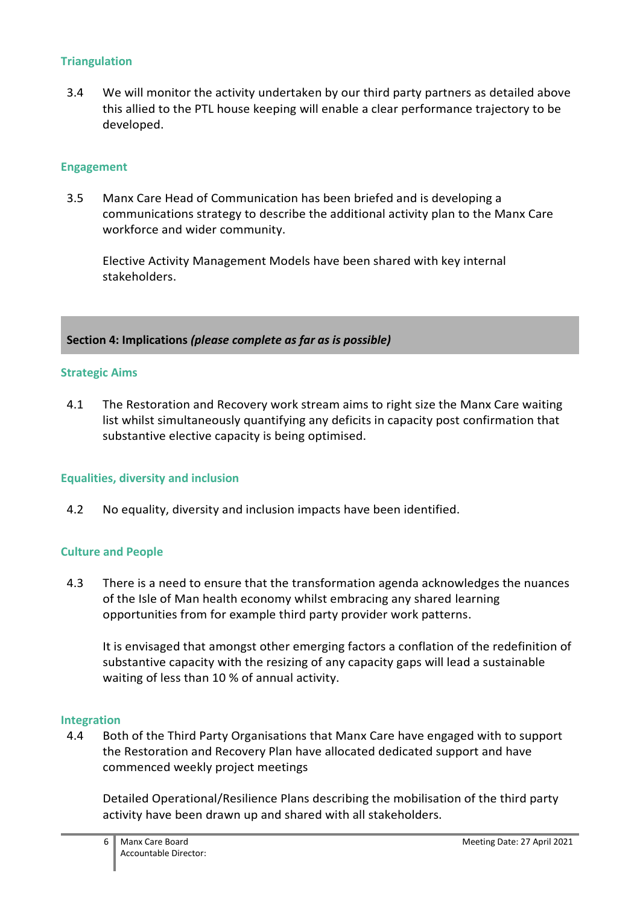# **Triangulation**

3.4 We will monitor the activity undertaken by our third party partners as detailed above this allied to the PTL house keeping will enable a clear performance trajectory to be developed.

# **Engagement**

3.5 Manx Care Head of Communication has been briefed and is developing a communications strategy to describe the additional activity plan to the Manx Care workforce and wider community.

Elective Activity Management Models have been shared with key internal stakeholders.

**Section 4: Implications** *(please complete as far as is possible)*

# **Strategic Aims**

4.1 The Restoration and Recovery work stream aims to right size the Manx Care waiting list whilst simultaneously quantifying any deficits in capacity post confirmation that substantive elective capacity is being optimised.

# **Equalities, diversity and inclusion**

4.2 No equality, diversity and inclusion impacts have been identified.

# **Culture and People**

4.3 There is a need to ensure that the transformation agenda acknowledges the nuances of the Isle of Man health economy whilst embracing any shared learning opportunities from for example third party provider work patterns.

It is envisaged that amongst other emerging factors a conflation of the redefinition of substantive capacity with the resizing of any capacity gaps will lead a sustainable waiting of less than 10 % of annual activity.

#### **Integration**

4.4 Both of the Third Party Organisations that Manx Care have engaged with to support the Restoration and Recovery Plan have allocated dedicated support and have commenced weekly project meetings

Detailed Operational/Resilience Plans describing the mobilisation of the third party activity have been drawn up and shared with all stakeholders.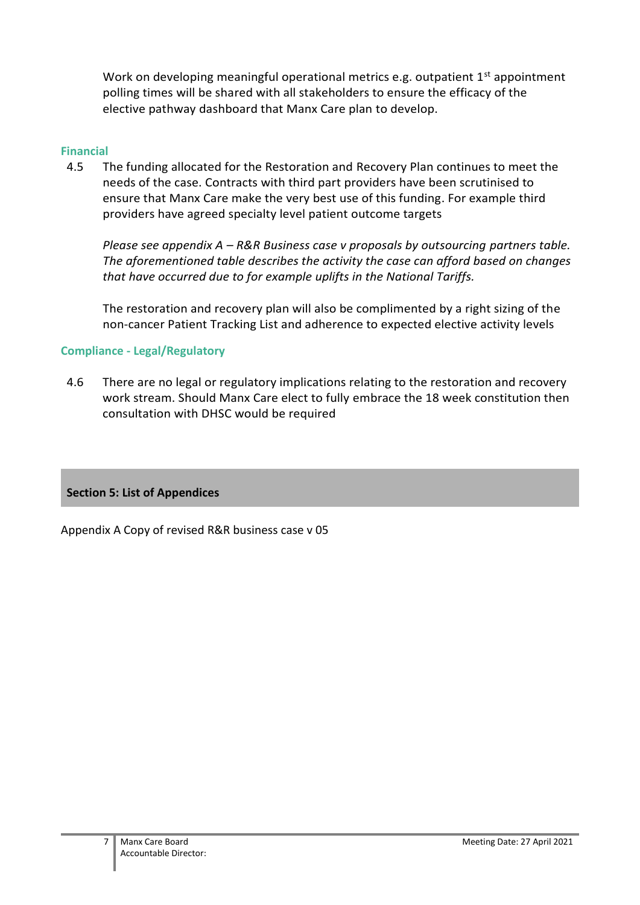Work on developing meaningful operational metrics e.g. outpatient  $1<sup>st</sup>$  appointment polling times will be shared with all stakeholders to ensure the efficacy of the elective pathway dashboard that Manx Care plan to develop.

# **Financial**

4.5 The funding allocated for the Restoration and Recovery Plan continues to meet the needs of the case. Contracts with third part providers have been scrutinised to ensure that Manx Care make the very best use of this funding. For example third providers have agreed specialty level patient outcome targets

*Please see appendix A – R&R Business case v proposals by outsourcing partners table. The aforementioned table describes the activity the case can afford based on changes that have occurred due to for example uplifts in the National Tariffs.*

The restoration and recovery plan will also be complimented by a right sizing of the non-cancer Patient Tracking List and adherence to expected elective activity levels

# **Compliance - Legal/Regulatory**

4.6 There are no legal or regulatory implications relating to the restoration and recovery work stream. Should Manx Care elect to fully embrace the 18 week constitution then consultation with DHSC would be required

# **Section 5: List of Appendices**

Appendix A Copy of revised R&R business case v 05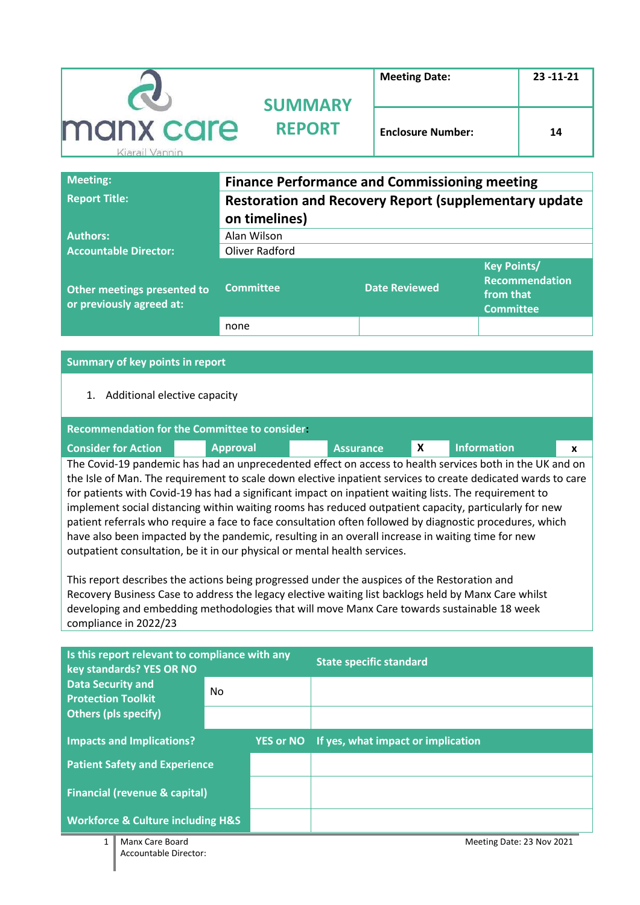|                             | <b>SUMMARY</b> | <b>Meeting Date:</b>     | $23 - 11 - 21$ |
|-----------------------------|----------------|--------------------------|----------------|
| manx care<br>Kiarail Vannin | <b>REPORT</b>  | <b>Enclosure Number:</b> | 14             |

| <b>Meeting:</b>                                         | <b>Finance Performance and Commissioning meeting</b>          |                      |                                                                              |  |  |
|---------------------------------------------------------|---------------------------------------------------------------|----------------------|------------------------------------------------------------------------------|--|--|
| <b>Report Title:</b>                                    | <b>Restoration and Recovery Report (supplementary update)</b> |                      |                                                                              |  |  |
|                                                         | on timelines)                                                 |                      |                                                                              |  |  |
| <b>Authors:</b>                                         | Alan Wilson                                                   |                      |                                                                              |  |  |
| <b>Accountable Director:</b>                            | Oliver Radford                                                |                      |                                                                              |  |  |
| Other meetings presented to<br>or previously agreed at: | <b>Committee</b>                                              | <b>Date Reviewed</b> | <b>Key Points/</b><br><b>Recommendation</b><br>from that<br><b>Committee</b> |  |  |
|                                                         | none                                                          |                      |                                                                              |  |  |

#### **Summary of key points in report**

# 1. Additional elective capacity

| Recommendation for the Committee to consider |                                                                                                          |                  |  |                    |   |  |  |  |
|----------------------------------------------|----------------------------------------------------------------------------------------------------------|------------------|--|--------------------|---|--|--|--|
| <b>Consider for Action</b>                   | <b>Approval</b>                                                                                          | <b>Assurance</b> |  | <b>Information</b> | X |  |  |  |
|                                              | The Covid-19 pandemic has had an unprecedented effect on access to health services both in the UK and on |                  |  |                    |   |  |  |  |

the Isle of Man. The requirement to scale down elective inpatient services to create dedicated wards to care for patients with Covid-19 has had a significant impact on inpatient waiting lists. The requirement to implement social distancing within waiting rooms has reduced outpatient capacity, particularly for new patient referrals who require a face to face consultation often followed by diagnostic procedures, which have also been impacted by the pandemic, resulting in an overall increase in waiting time for new outpatient consultation, be it in our physical or mental health services.

This report describes the actions being progressed under the auspices of the Restoration and Recovery Business Case to address the legacy elective waiting list backlogs held by Manx Care whilst developing and embedding methodologies that will move Manx Care towards sustainable 18 week compliance in 2022/23

| Is this report relevant to compliance with any<br>key standards? YES OR NO |     |                  | <b>State specific standard</b>     |
|----------------------------------------------------------------------------|-----|------------------|------------------------------------|
| <b>Data Security and</b><br><b>Protection Toolkit</b>                      | No. |                  |                                    |
| <b>Others (pls specify)</b>                                                |     |                  |                                    |
| <b>Impacts and Implications?</b>                                           |     | <b>YES or NO</b> | If yes, what impact or implication |
| <b>Patient Safety and Experience</b>                                       |     |                  |                                    |
| <b>Financial (revenue &amp; capital)</b>                                   |     |                  |                                    |
| <b>Workforce &amp; Culture including H&amp;S</b>                           |     |                  |                                    |
| 1<br>Manx Care Board                                                       |     |                  | Meeting Date: 23 Nov 2021          |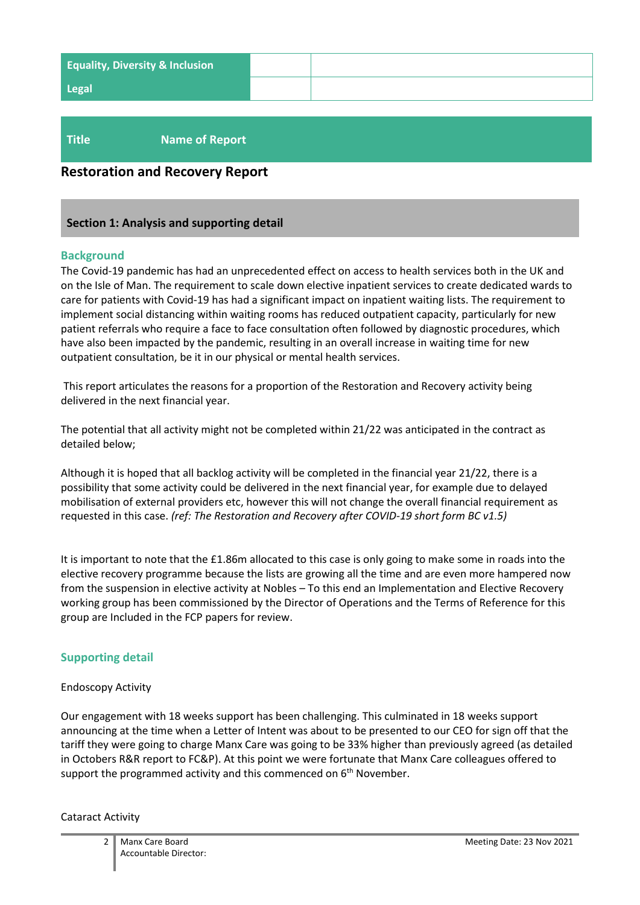| <b>Equality, Diversity &amp; Inclusion</b> |  |
|--------------------------------------------|--|
| <b>Legal</b>                               |  |
|                                            |  |

# **Title Name of Report**

# **Restoration and Recovery Report**

#### **Section 1: Analysis and supporting detail**

#### **Background**

The Covid-19 pandemic has had an unprecedented effect on access to health services both in the UK and on the Isle of Man. The requirement to scale down elective inpatient services to create dedicated wards to care for patients with Covid-19 has had a significant impact on inpatient waiting lists. The requirement to implement social distancing within waiting rooms has reduced outpatient capacity, particularly for new patient referrals who require a face to face consultation often followed by diagnostic procedures, which have also been impacted by the pandemic, resulting in an overall increase in waiting time for new outpatient consultation, be it in our physical or mental health services.

This report articulates the reasons for a proportion of the Restoration and Recovery activity being delivered in the next financial year.

The potential that all activity might not be completed within 21/22 was anticipated in the contract as detailed below;

Although it is hoped that all backlog activity will be completed in the financial year 21/22, there is a possibility that some activity could be delivered in the next financial year, for example due to delayed mobilisation of external providers etc, however this will not change the overall financial requirement as requested in this case. *(ref: The Restoration and Recovery after COVID-19 short form BC v1.5)*

It is important to note that the £1.86m allocated to this case is only going to make some in roads into the elective recovery programme because the lists are growing all the time and are even more hampered now from the suspension in elective activity at Nobles – To this end an Implementation and Elective Recovery working group has been commissioned by the Director of Operations and the Terms of Reference for this group are Included in the FCP papers for review.

# **Supporting detail**

#### Endoscopy Activity

Our engagement with 18 weeks support has been challenging. This culminated in 18 weeks support announcing at the time when a Letter of Intent was about to be presented to our CEO for sign off that the tariff they were going to charge Manx Care was going to be 33% higher than previously agreed (as detailed in Octobers R&R report to FC&P). At this point we were fortunate that Manx Care colleagues offered to support the programmed activity and this commenced on  $6<sup>th</sup>$  November.

Cataract Activity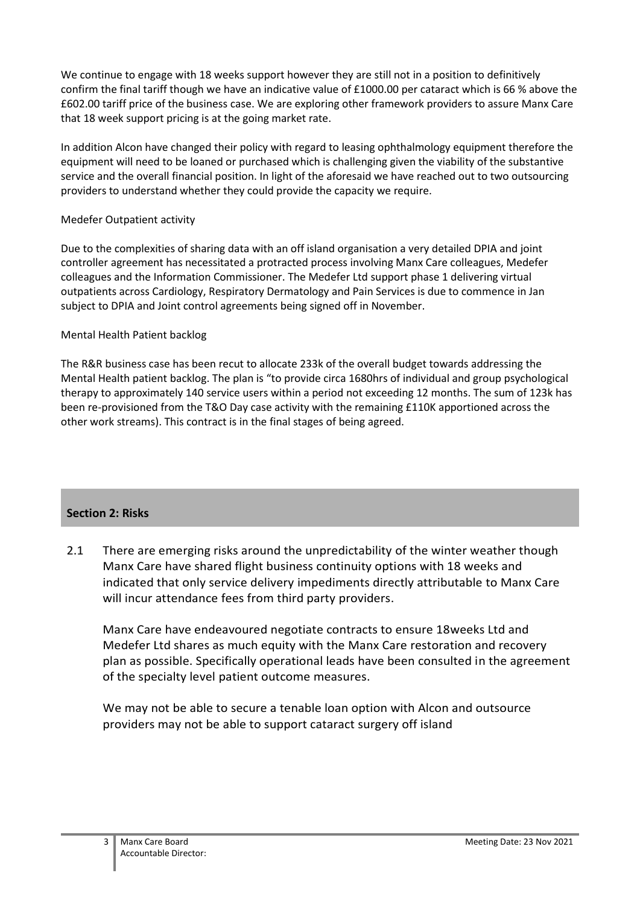We continue to engage with 18 weeks support however they are still not in a position to definitively confirm the final tariff though we have an indicative value of £1000.00 per cataract which is 66 % above the £602.00 tariff price of the business case. We are exploring other framework providers to assure Manx Care that 18 week support pricing is at the going market rate.

In addition Alcon have changed their policy with regard to leasing ophthalmology equipment therefore the equipment will need to be loaned or purchased which is challenging given the viability of the substantive service and the overall financial position. In light of the aforesaid we have reached out to two outsourcing providers to understand whether they could provide the capacity we require.

# Medefer Outpatient activity

Due to the complexities of sharing data with an off island organisation a very detailed DPIA and joint controller agreement has necessitated a protracted process involving Manx Care colleagues, Medefer colleagues and the Information Commissioner. The Medefer Ltd support phase 1 delivering virtual outpatients across Cardiology, Respiratory Dermatology and Pain Services is due to commence in Jan subject to DPIA and Joint control agreements being signed off in November.

# Mental Health Patient backlog

The R&R business case has been recut to allocate 233k of the overall budget towards addressing the Mental Health patient backlog. The plan is "to provide circa 1680hrs of individual and group psychological therapy to approximately 140 service users within a period not exceeding 12 months. The sum of 123k has been re-provisioned from the T&O Day case activity with the remaining £110K apportioned across the other work streams). This contract is in the final stages of being agreed.

# **Section 2: Risks**

2.1 There are emerging risks around the unpredictability of the winter weather though Manx Care have shared flight business continuity options with 18 weeks and indicated that only service delivery impediments directly attributable to Manx Care will incur attendance fees from third party providers.

Manx Care have endeavoured negotiate contracts to ensure 18weeks Ltd and Medefer Ltd shares as much equity with the Manx Care restoration and recovery plan as possible. Specifically operational leads have been consulted in the agreement of the specialty level patient outcome measures.

We may not be able to secure a tenable loan option with Alcon and outsource providers may not be able to support cataract surgery off island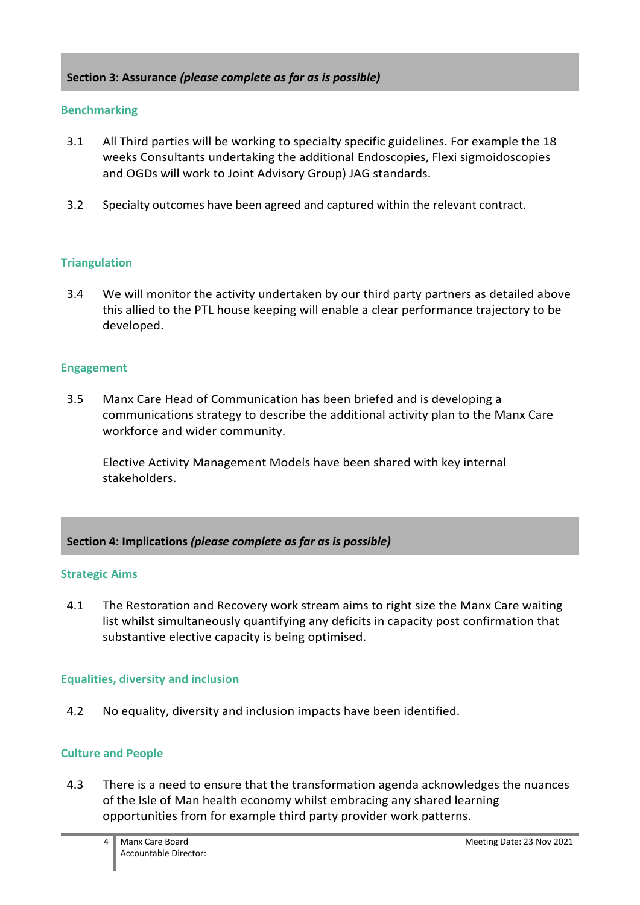# **Section 3: Assurance** *(please complete as far as is possible)*

# **Benchmarking**

- 3.1 All Third parties will be working to specialty specific guidelines. For example the 18 weeks Consultants undertaking the additional Endoscopies, Flexi sigmoidoscopies and OGDs will work to Joint Advisory Group) JAG standards.
- 3.2 Specialty outcomes have been agreed and captured within the relevant contract.

# **Triangulation**

3.4 We will monitor the activity undertaken by our third party partners as detailed above this allied to the PTL house keeping will enable a clear performance trajectory to be developed.

# **Engagement**

3.5 Manx Care Head of Communication has been briefed and is developing a communications strategy to describe the additional activity plan to the Manx Care workforce and wider community.

Elective Activity Management Models have been shared with key internal stakeholders.

# **Section 4: Implications** *(please complete as far as is possible)*

# **Strategic Aims**

4.1 The Restoration and Recovery work stream aims to right size the Manx Care waiting list whilst simultaneously quantifying any deficits in capacity post confirmation that substantive elective capacity is being optimised.

# **Equalities, diversity and inclusion**

4.2 No equality, diversity and inclusion impacts have been identified.

# **Culture and People**

4.3 There is a need to ensure that the transformation agenda acknowledges the nuances of the Isle of Man health economy whilst embracing any shared learning opportunities from for example third party provider work patterns.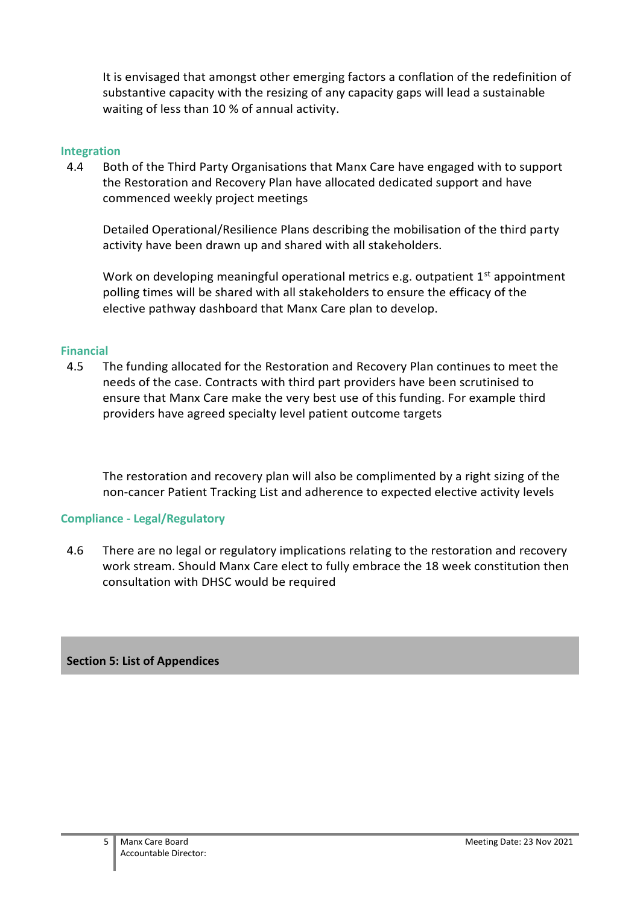It is envisaged that amongst other emerging factors a conflation of the redefinition of substantive capacity with the resizing of any capacity gaps will lead a sustainable waiting of less than 10 % of annual activity.

#### **Integration**

4.4 Both of the Third Party Organisations that Manx Care have engaged with to support the Restoration and Recovery Plan have allocated dedicated support and have commenced weekly project meetings

Detailed Operational/Resilience Plans describing the mobilisation of the third party activity have been drawn up and shared with all stakeholders.

Work on developing meaningful operational metrics e.g. outpatient  $1<sup>st</sup>$  appointment polling times will be shared with all stakeholders to ensure the efficacy of the elective pathway dashboard that Manx Care plan to develop.

# **Financial**

4.5 The funding allocated for the Restoration and Recovery Plan continues to meet the needs of the case. Contracts with third part providers have been scrutinised to ensure that Manx Care make the very best use of this funding. For example third providers have agreed specialty level patient outcome targets

The restoration and recovery plan will also be complimented by a right sizing of the non-cancer Patient Tracking List and adherence to expected elective activity levels

# **Compliance - Legal/Regulatory**

4.6 There are no legal or regulatory implications relating to the restoration and recovery work stream. Should Manx Care elect to fully embrace the 18 week constitution then consultation with DHSC would be required

# **Section 5: List of Appendices**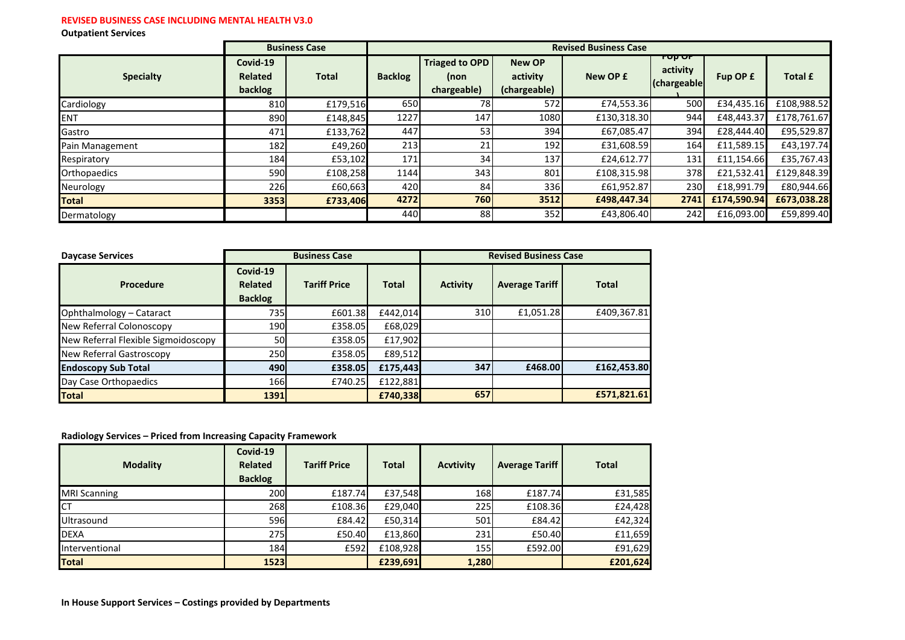#### **REVISED BUSINESS CASE INCLUDING MENTAL HEALTH V3.0**

**Outpatient Services**

|                  |                                       | <b>Business Case</b> |                | <b>Revised Business Case</b>                 |                                           |             |                                    |             |                |
|------------------|---------------------------------------|----------------------|----------------|----------------------------------------------|-------------------------------------------|-------------|------------------------------------|-------------|----------------|
| <b>Specialty</b> | Covid-19<br><b>Related</b><br>backlog | <b>Total</b>         | <b>Backlog</b> | <b>Triaged to OPD</b><br>(non<br>chargeable) | <b>New OP</b><br>activity<br>(chargeable) | New OP £    | rup ur<br>activity<br>(chargeable) | Fup OP £    | <b>Total £</b> |
| Cardiology       | 810                                   | £179,516             | 650            | 78 l                                         | 572                                       | £74,553.36  | 500                                | £34,435.16  | £108,988.52    |
| <b>ENT</b>       | 890                                   | £148,845             | 1227           | 147                                          | 1080                                      | £130,318.30 | 944                                | £48,443.37  | £178,761.67    |
| Gastro           | 471                                   | £133,762             | 447            | 53                                           | 394                                       | £67,085.47  | 394                                | £28.444.40  | £95,529.87     |
| Pain Management  | 182                                   | £49,260              | 213            | 21                                           | 192                                       | £31,608.59  | 164                                | £11,589.15  | £43,197.74     |
| Respiratory      | 184                                   | £53,102              | 171            | 34                                           | 137                                       | £24,612.77  | 131                                | £11,154.66  | £35,767.43     |
| Orthopaedics     | 590                                   | £108,258             | 1144           | 343                                          | 801                                       | £108,315.98 | 378                                | £21,532.41  | £129,848.39    |
| Neurology        | 226                                   | £60,663              | 420            | 84                                           | 336                                       | £61,952.87  | 230                                | £18,991.79  | £80,944.66     |
| <b>Total</b>     | 3353                                  | £733,406             | 4272           | 760                                          | 3512                                      | £498,447.34 | 2741                               | £174,590.94 | £673,038.28    |
| Dermatology      |                                       |                      | 440            | 88                                           | 352                                       | £43,806.40  | 242                                | £16,093.00  | £59,899.40     |

| <b>Daycase Services</b>             | <b>Business Case</b>                         |                     | <b>Revised Business Case</b> |                 |                       |              |
|-------------------------------------|----------------------------------------------|---------------------|------------------------------|-----------------|-----------------------|--------------|
| Procedure                           | Covid-19<br><b>Related</b><br><b>Backlog</b> | <b>Tariff Price</b> | <b>Total</b>                 | <b>Activity</b> | <b>Average Tariff</b> | <b>Total</b> |
| Ophthalmology - Cataract            | 735                                          | £601.38             | £442,014                     | 310             | £1,051.28             | £409,367.81  |
| New Referral Colonoscopy            | 190                                          | £358.05             | £68,029                      |                 |                       |              |
| New Referral Flexible Sigmoidoscopy | 50                                           | £358.05             | £17,902                      |                 |                       |              |
| New Referral Gastroscopy            | 250                                          | £358.05             | £89,512                      |                 |                       |              |
| <b>Endoscopy Sub Total</b>          | 490                                          | £358.05             | £175,443                     | 347             | £468.00               | £162,453.80  |
| Day Case Orthopaedics               | 166                                          | £740.25             | £122,881                     |                 |                       |              |
| <b>Total</b>                        | <b>1391</b>                                  |                     | £740,338                     | 657             |                       | £571,821.61  |

#### **Radiology Services – Priced from Increasing Capacity Framework**

| <b>Modality</b>     | Covid-19<br><b>Related</b><br><b>Backlog</b> | <b>Tariff Price</b> | <b>Total</b> | <b>Acvtivity</b> | <b>Average Tariff</b> | <b>Total</b> |
|---------------------|----------------------------------------------|---------------------|--------------|------------------|-----------------------|--------------|
| <b>MRI Scanning</b> | <b>200</b>                                   | £187.74             | £37,548      | <b>168</b>       | £187.74               | £31,585      |
| ICT                 | 268                                          | £108.36             | £29,040      | 225              | £108.36               | £24,428      |
| Ultrasound          | 596                                          | £84.42              | £50,314      | 501 <sub>l</sub> | £84.42                | £42,324      |
| <b>DEXA</b>         | 275                                          | £50.40              | £13,860      | 231              | £50.40                | £11,659      |
| Interventional      | 184                                          | £592                | £108.928     | <b>1551</b>      | £592.00               | £91,629      |
| <b>Total</b>        | <b>1523</b>                                  |                     | £239,691     | 1,280            |                       | £201,624     |